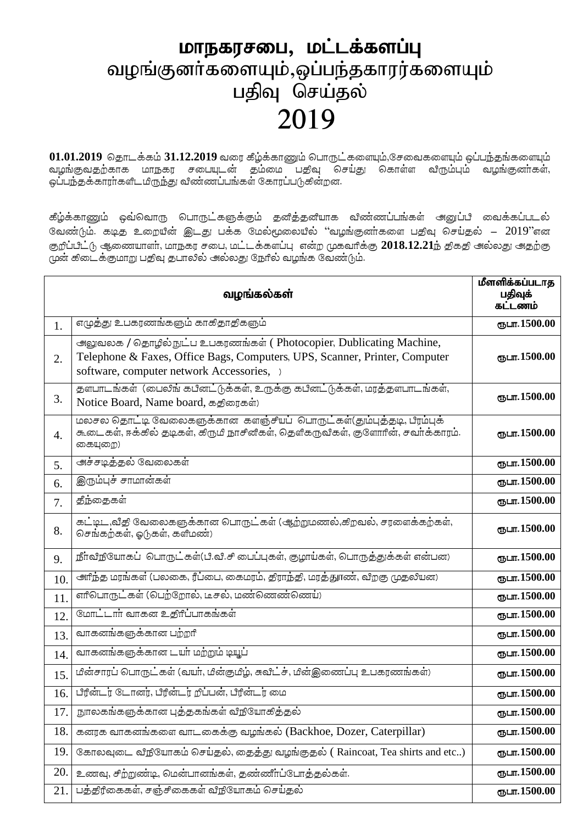## மாநகரசபை, மட்டக்களப்பு வழங்குனர்களையும்,ஒப்பந்தகாரர்களையும் பதிவு செய்தல் 2019

01.01.2019 தொடக்கம் 31.12.2019 வரை கீழ்க்காணும் பொருட்களையும்,சேவைகளையும் ஒப்ப<del>ந்</del>தங்களையும் வழங்குவதற்காக மாநகர சபையுடன் தம்மை பதிவு செய்து கொள்ள விரும்பும் வழங்குனா்கள், ஒப்பந்தக்காரா்களிடமிருந்து விண்ணப்பங்கள் கோரப்படுகின்றன.

கீழ்க்காணும் ஒவ்வொரு பொருட்களுக்கும் தனித்தனியாக விண்ணப்பங்கள் அனுப்பி வைக்கப்படல் வேண்டும். கடித உறையின் இடது பக்க மேல்மூலையில் "வழங்குனாகளை பதிவு செய்தல் –  $2019$ "என குறீப்பீட்டு ஆணையாளர், மாநகர சபை, மட்டக்களப்பு என்ற முகவரிக்கு 2018.12.21ந் திகதி அல்லது அதற்கு முன் கிடைக்குமாறு பதிவு தபாலில் அல்லது நேரில் வழங்க வேண்டும்.

|     | வழங்கல்கள்                                                                                                                                                                                     | மீளளிக்கப்படாத<br>பதிவுக்<br>கட்டணம் |
|-----|------------------------------------------------------------------------------------------------------------------------------------------------------------------------------------------------|--------------------------------------|
| 1.  | எழுத்து உபகரணங்களும் காகிதாதிகளும்                                                                                                                                                             | ரூபா.1500.00                         |
| 2.  | அலுவலக / தொழில் நுட்ப உபகரணங்கள் (Photocopier, Dublicating Machine,<br>Telephone & Faxes, Office Bags, Computers, UPS, Scanner, Printer, Computer<br>software, computer network Accessories, ) | ரூபா. 1500.00                        |
| 3.  | தளபாடங்கள் (பைலிங் கபினட்டுக்கள், உருக்கு கபினட்டுக்கள், மரத்தளபாடங்கள்,<br>Notice Board, Name board, கதிரைகள்)                                                                                | ரூபா.1500.00                         |
| 4.  | மலசல தொட்டி வேலைகளுக்கான களஞ்சியப் பொருட்கள்(தும்புத்தடி, பீரம்புக்<br>கூடைகள், ஈக்கில் தடிகள், கிருமி நாசினிகள், தெளிகருவிகள், குளோரின், சவர்க்காரம்.<br>கையுறை)                              | ரூபா.1500.00                         |
| 5.  | அச்சடித்தல் வேலைகள்                                                                                                                                                                            | ரூபா.1500.00                         |
| 6.  | இரும்புச் சாமான்கள்                                                                                                                                                                            | ரூபா.1500.00                         |
| 7.  | <u>தீந்தை</u> கள்                                                                                                                                                                              | ரூபா.1500.00                         |
| 8.  | கட்டிட ,வீதி வேலைகளுக்கான பொருட்கள் (ஆற்றுமணல்,கிறவல், சரளைக்கற்கள்,<br>செங்கற்கள், ஓடுகள், களிமண்)                                                                                            | ரூபா.1500.00                         |
| 9.  | நீர்விநியோகப் பொருட்கள்(பி.வி.சி பைப்புகள், குழாய்கள், பொருத்துக்கள் என்பன)                                                                                                                    | ரூபா.1500.00                         |
| 10. | <u> அரிந்த</u> மரங்கள் (பலகை, ரீப்பை, கைமரம், திராந்தி, மரத்துாண், விறகு முதலியன)                                                                                                              | ரூபா.1500.00                         |
| 11. | எரிபொருட்கள் (பெற்றோல், டீசல், மண்ணெண்ணெய்)                                                                                                                                                    | ருபா.1500.00                         |
| 12. | மோட்டார் வாகன உதிரீப்பாகங்கள்                                                                                                                                                                  | ரூபா.1500.00                         |
| 13. | வாகனங்களுக்கான பற்றரி                                                                                                                                                                          | ரூபா.1500.00                         |
| 14. | வாகனங்களுக்கான டயர் மற்றும் டியூப்                                                                                                                                                             | ரூபா.1500.00                         |
| 15. | மீன்சாரப் பொருட்கள் (வயா், மீன்குமீழ், சுவீட்ச், மீன்இணைப்பு உபகரணங்கள்)                                                                                                                       | ரூபா.1500.00                         |
| 16. | பிரீன்டர் டோனர், பிரீன்டர் றீப்பன், பிரீன்டர் மை                                                                                                                                               | ரூபா. 1500.00                        |
| 17. | நூலகங்களுக்கான புத்தகங்கள் வீநியோகித்தல்                                                                                                                                                       | ரூபா. 1500.00                        |
| 18. | கனரக வாகனங்களை வாடகைக்கு வழங்கல் (Backhoe, Dozer, Caterpillar)                                                                                                                                 | ரூபா.1500.00                         |
| 19. | கோலவுடை வீநியோகம் செய்தல், தைத்து வழங்குதல் (Raincoat, Tea shirts and etc)                                                                                                                     | ரூபா.1500.00                         |
| 20. | உணவு, சிற்றுண்டி, மென்பானங்கள், தண்ணீர்ப்போத்தல்கள்.                                                                                                                                           | ரூபா.1500.00                         |
| 21. | பத்திரிகைகள், சஞ்சிகைகள் விநியோகம் செய்தல்                                                                                                                                                     | ரூபா. 1500.00                        |